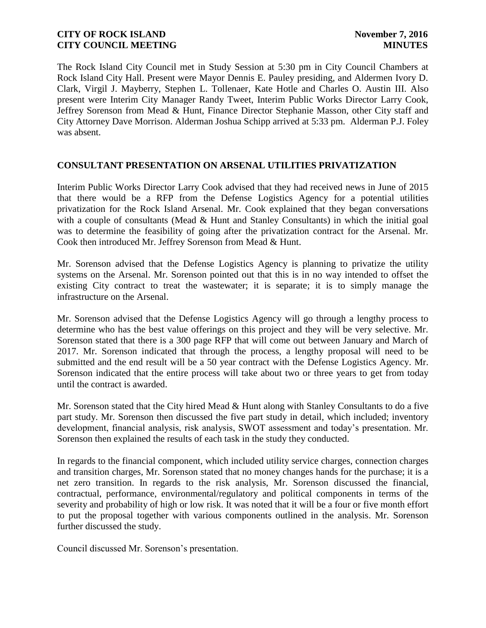The Rock Island City Council met in Study Session at 5:30 pm in City Council Chambers at Rock Island City Hall. Present were Mayor Dennis E. Pauley presiding, and Aldermen Ivory D. Clark, Virgil J. Mayberry, Stephen L. Tollenaer, Kate Hotle and Charles O. Austin III. Also present were Interim City Manager Randy Tweet, Interim Public Works Director Larry Cook, Jeffrey Sorenson from Mead & Hunt, Finance Director Stephanie Masson, other City staff and City Attorney Dave Morrison. Alderman Joshua Schipp arrived at 5:33 pm. Alderman P.J. Foley was absent.

### **CONSULTANT PRESENTATION ON ARSENAL UTILITIES PRIVATIZATION**

Interim Public Works Director Larry Cook advised that they had received news in June of 2015 that there would be a RFP from the Defense Logistics Agency for a potential utilities privatization for the Rock Island Arsenal. Mr. Cook explained that they began conversations with a couple of consultants (Mead & Hunt and Stanley Consultants) in which the initial goal was to determine the feasibility of going after the privatization contract for the Arsenal. Mr. Cook then introduced Mr. Jeffrey Sorenson from Mead & Hunt.

Mr. Sorenson advised that the Defense Logistics Agency is planning to privatize the utility systems on the Arsenal. Mr. Sorenson pointed out that this is in no way intended to offset the existing City contract to treat the wastewater; it is separate; it is to simply manage the infrastructure on the Arsenal.

Mr. Sorenson advised that the Defense Logistics Agency will go through a lengthy process to determine who has the best value offerings on this project and they will be very selective. Mr. Sorenson stated that there is a 300 page RFP that will come out between January and March of 2017. Mr. Sorenson indicated that through the process, a lengthy proposal will need to be submitted and the end result will be a 50 year contract with the Defense Logistics Agency. Mr. Sorenson indicated that the entire process will take about two or three years to get from today until the contract is awarded.

Mr. Sorenson stated that the City hired Mead & Hunt along with Stanley Consultants to do a five part study. Mr. Sorenson then discussed the five part study in detail, which included; inventory development, financial analysis, risk analysis, SWOT assessment and today's presentation. Mr. Sorenson then explained the results of each task in the study they conducted.

In regards to the financial component, which included utility service charges, connection charges and transition charges, Mr. Sorenson stated that no money changes hands for the purchase; it is a net zero transition. In regards to the risk analysis, Mr. Sorenson discussed the financial, contractual, performance, environmental/regulatory and political components in terms of the severity and probability of high or low risk. It was noted that it will be a four or five month effort to put the proposal together with various components outlined in the analysis. Mr. Sorenson further discussed the study.

Council discussed Mr. Sorenson's presentation.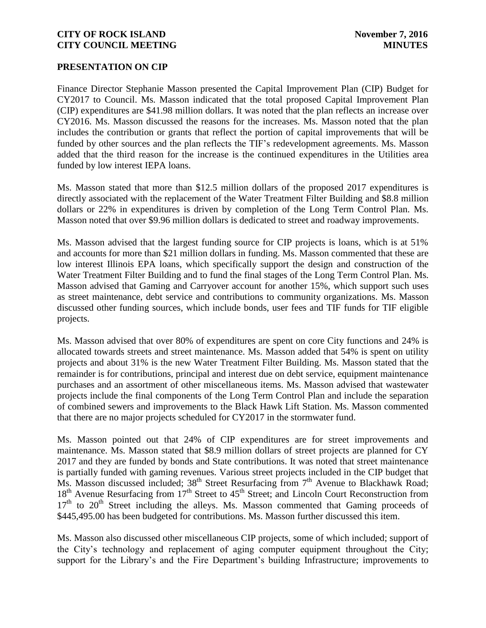#### **PRESENTATION ON CIP**

Finance Director Stephanie Masson presented the Capital Improvement Plan (CIP) Budget for CY2017 to Council. Ms. Masson indicated that the total proposed Capital Improvement Plan (CIP) expenditures are \$41.98 million dollars. It was noted that the plan reflects an increase over CY2016. Ms. Masson discussed the reasons for the increases. Ms. Masson noted that the plan includes the contribution or grants that reflect the portion of capital improvements that will be funded by other sources and the plan reflects the TIF's redevelopment agreements. Ms. Masson added that the third reason for the increase is the continued expenditures in the Utilities area funded by low interest IEPA loans.

Ms. Masson stated that more than \$12.5 million dollars of the proposed 2017 expenditures is directly associated with the replacement of the Water Treatment Filter Building and \$8.8 million dollars or 22% in expenditures is driven by completion of the Long Term Control Plan. Ms. Masson noted that over \$9.96 million dollars is dedicated to street and roadway improvements.

Ms. Masson advised that the largest funding source for CIP projects is loans, which is at 51% and accounts for more than \$21 million dollars in funding. Ms. Masson commented that these are low interest Illinois EPA loans, which specifically support the design and construction of the Water Treatment Filter Building and to fund the final stages of the Long Term Control Plan. Ms. Masson advised that Gaming and Carryover account for another 15%, which support such uses as street maintenance, debt service and contributions to community organizations. Ms. Masson discussed other funding sources, which include bonds, user fees and TIF funds for TIF eligible projects.

Ms. Masson advised that over 80% of expenditures are spent on core City functions and 24% is allocated towards streets and street maintenance. Ms. Masson added that 54% is spent on utility projects and about 31% is the new Water Treatment Filter Building. Ms. Masson stated that the remainder is for contributions, principal and interest due on debt service, equipment maintenance purchases and an assortment of other miscellaneous items. Ms. Masson advised that wastewater projects include the final components of the Long Term Control Plan and include the separation of combined sewers and improvements to the Black Hawk Lift Station. Ms. Masson commented that there are no major projects scheduled for CY2017 in the stormwater fund.

Ms. Masson pointed out that 24% of CIP expenditures are for street improvements and maintenance. Ms. Masson stated that \$8.9 million dollars of street projects are planned for CY 2017 and they are funded by bonds and State contributions. It was noted that street maintenance is partially funded with gaming revenues. Various street projects included in the CIP budget that Ms. Masson discussed included; 38<sup>th</sup> Street Resurfacing from 7<sup>th</sup> Avenue to Blackhawk Road;  $18<sup>th</sup>$  Avenue Resurfacing from  $17<sup>th</sup>$  Street to 45<sup>th</sup> Street; and Lincoln Court Reconstruction from  $17<sup>th</sup>$  to  $20<sup>th</sup>$  Street including the alleys. Ms. Masson commented that Gaming proceeds of \$445,495.00 has been budgeted for contributions. Ms. Masson further discussed this item.

Ms. Masson also discussed other miscellaneous CIP projects, some of which included; support of the City's technology and replacement of aging computer equipment throughout the City; support for the Library's and the Fire Department's building Infrastructure; improvements to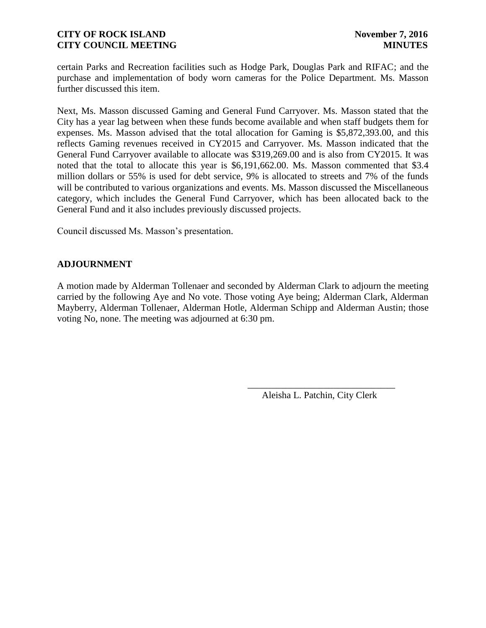certain Parks and Recreation facilities such as Hodge Park, Douglas Park and RIFAC; and the purchase and implementation of body worn cameras for the Police Department. Ms. Masson further discussed this item.

Next, Ms. Masson discussed Gaming and General Fund Carryover. Ms. Masson stated that the City has a year lag between when these funds become available and when staff budgets them for expenses. Ms. Masson advised that the total allocation for Gaming is \$5,872,393.00, and this reflects Gaming revenues received in CY2015 and Carryover. Ms. Masson indicated that the General Fund Carryover available to allocate was \$319,269.00 and is also from CY2015. It was noted that the total to allocate this year is \$6,191,662.00. Ms. Masson commented that \$3.4 million dollars or 55% is used for debt service, 9% is allocated to streets and 7% of the funds will be contributed to various organizations and events. Ms. Masson discussed the Miscellaneous category, which includes the General Fund Carryover, which has been allocated back to the General Fund and it also includes previously discussed projects.

Council discussed Ms. Masson's presentation.

#### **ADJOURNMENT**

A motion made by Alderman Tollenaer and seconded by Alderman Clark to adjourn the meeting carried by the following Aye and No vote. Those voting Aye being; Alderman Clark, Alderman Mayberry, Alderman Tollenaer, Alderman Hotle, Alderman Schipp and Alderman Austin; those voting No, none. The meeting was adjourned at 6:30 pm.

 $\overline{\phantom{a}}$  , and the contract of the contract of the contract of the contract of the contract of the contract of the contract of the contract of the contract of the contract of the contract of the contract of the contrac Aleisha L. Patchin, City Clerk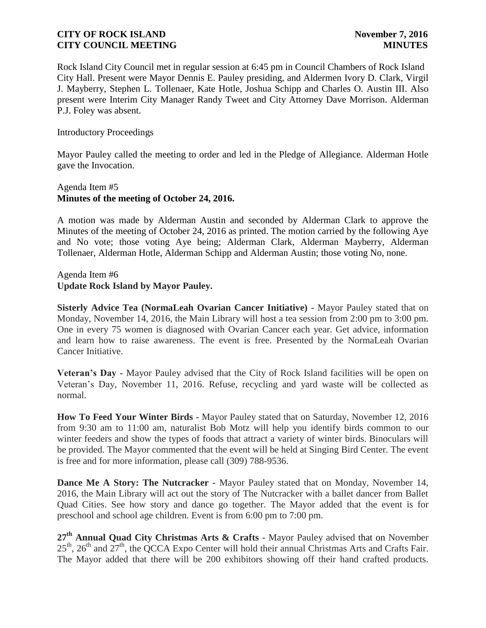Rock Island City Council met in regular session at 6:45 pm in Council Chambers of Rock Island City Hall. Present were Mayor Dennis E. Pauley presiding, and Aldermen Ivory D. Clark, Virgil J. Mayberry, Stephen L. Tollenaer, Kate Hotle, Joshua Schipp and Charles O. Austin III. Also present were Interim City Manager Randy Tweet and City Attorney Dave Morrison. Alderman P.J. Foley was absent.

Introductory Proceedings

Mayor Pauley called the meeting to order and led in the Pledge of Allegiance. Alderman Hotle gave the Invocation.

### Agenda Item #5 **Minutes of the meeting of October 24, 2016.**

A motion was made by Alderman Austin and seconded by Alderman Clark to approve the Minutes of the meeting of October 24, 2016 as printed. The motion carried by the following Aye and No vote; those voting Aye being; Alderman Clark, Alderman Mayberry, Alderman Tollenaer, Alderman Hotle, Alderman Schipp and Alderman Austin; those voting No, none.

Agenda Item #6 **Update Rock Island by Mayor Pauley.** 

**Sisterly Advice Tea (NormaLeah Ovarian Cancer Initiative) -** Mayor Pauley stated that on Monday, November 14, 2016, the Main Library will host a tea session from 2:00 pm to 3:00 pm. One in every 75 women is diagnosed with Ovarian Cancer each year. Get advice, information and learn how to raise awareness. The event is free. Presented by the NormaLeah Ovarian Cancer Initiative.

**Veteran's Day -** Mayor Pauley advised that the City of Rock Island facilities will be open on Veteran's Day, November 11, 2016. Refuse, recycling and yard waste will be collected as normal.

**How To Feed Your Winter Birds -** Mayor Pauley stated that on Saturday, November 12, 2016 from 9:30 am to 11:00 am, naturalist Bob Motz will help you identify birds common to our winter feeders and show the types of foods that attract a variety of winter birds. Binoculars will be provided. The Mayor commented that the event will be held at Singing Bird Center. The event is free and for more information, please call (309) 788-9536.

**Dance Me A Story: The Nutcracker -** Mayor Pauley stated that on Monday, November 14, 2016, the Main Library will act out the story of The Nutcracker with a ballet dancer from Ballet Quad Cities. See how story and dance go together. The Mayor added that the event is for preschool and school age children. Event is from 6:00 pm to 7:00 pm.

**27th Annual Quad City Christmas Arts & Crafts -** Mayor Pauley advised that on November  $25<sup>th</sup>$ ,  $26<sup>th</sup>$  and  $27<sup>th</sup>$ , the QCCA Expo Center will hold their annual Christmas Arts and Crafts Fair. The Mayor added that there will be 200 exhibitors showing off their hand crafted products.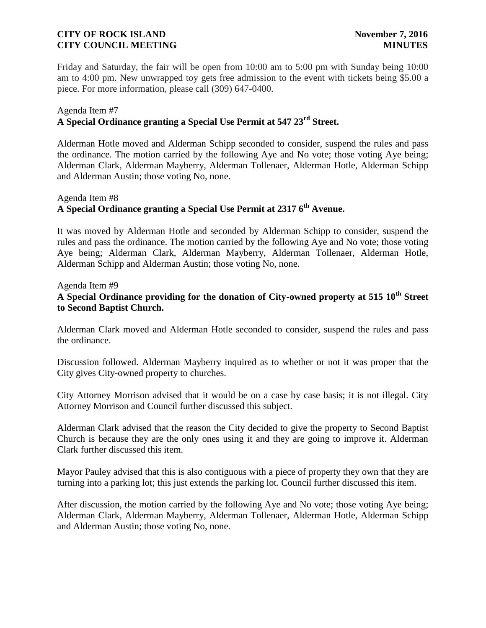Friday and Saturday, the fair will be open from 10:00 am to 5:00 pm with Sunday being 10:00 am to 4:00 pm. New unwrapped toy gets free admission to the event with tickets being \$5.00 a piece. For more information, please call (309) 647-0400.

# Agenda Item #7

# **A Special Ordinance granting a Special Use Permit at 547 23rd Street.**

Alderman Hotle moved and Alderman Schipp seconded to consider, suspend the rules and pass the ordinance. The motion carried by the following Aye and No vote; those voting Aye being; Alderman Clark, Alderman Mayberry, Alderman Tollenaer, Alderman Hotle, Alderman Schipp and Alderman Austin; those voting No, none.

# Agenda Item #8 **A Special Ordinance granting a Special Use Permit at 2317 6th Avenue.**

It was moved by Alderman Hotle and seconded by Alderman Schipp to consider, suspend the rules and pass the ordinance. The motion carried by the following Aye and No vote; those voting Aye being; Alderman Clark, Alderman Mayberry, Alderman Tollenaer, Alderman Hotle, Alderman Schipp and Alderman Austin; those voting No, none.

Agenda Item #9

# **A Special Ordinance providing for the donation of City-owned property at 515 10th Street to Second Baptist Church.**

Alderman Clark moved and Alderman Hotle seconded to consider, suspend the rules and pass the ordinance.

Discussion followed. Alderman Mayberry inquired as to whether or not it was proper that the City gives City-owned property to churches.

City Attorney Morrison advised that it would be on a case by case basis; it is not illegal. City Attorney Morrison and Council further discussed this subject.

Alderman Clark advised that the reason the City decided to give the property to Second Baptist Church is because they are the only ones using it and they are going to improve it. Alderman Clark further discussed this item.

Mayor Pauley advised that this is also contiguous with a piece of property they own that they are turning into a parking lot; this just extends the parking lot. Council further discussed this item.

After discussion, the motion carried by the following Aye and No vote; those voting Aye being; Alderman Clark, Alderman Mayberry, Alderman Tollenaer, Alderman Hotle, Alderman Schipp and Alderman Austin; those voting No, none.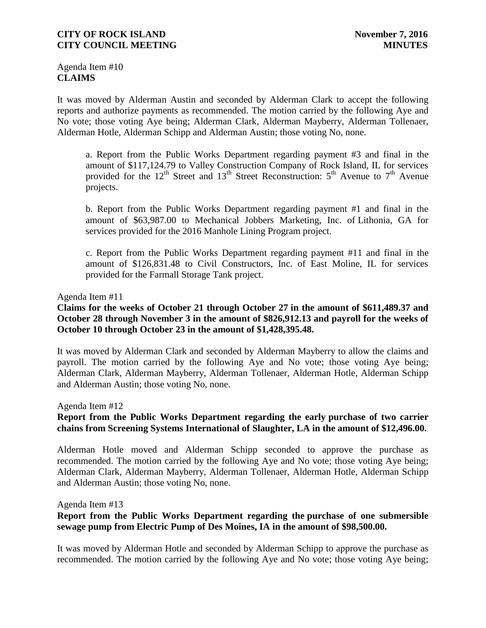Agenda Item #10 **CLAIMS**

It was moved by Alderman Austin and seconded by Alderman Clark to accept the following reports and authorize payments as recommended. The motion carried by the following Aye and No vote; those voting Aye being; Alderman Clark, Alderman Mayberry, Alderman Tollenaer, Alderman Hotle, Alderman Schipp and Alderman Austin; those voting No, none.

a. Report from the Public Works Department regarding payment #3 and final in the amount of \$117,124.79 to Valley Construction Company of Rock Island, IL for services provided for the  $12<sup>th</sup>$  Street and  $13<sup>th</sup>$  Street Reconstruction:  $5<sup>th</sup>$  Avenue to  $7<sup>th</sup>$  Avenue projects.

b. Report from the Public Works Department regarding payment #1 and final in the amount of \$63,987.00 to Mechanical Jobbers Marketing, Inc. of Lithonia, GA for services provided for the 2016 Manhole Lining Program project.

c. Report from the Public Works Department regarding payment #11 and final in the amount of \$126,831.48 to Civil Constructors, Inc. of East Moline, IL for services provided for the Farmall Storage Tank project.

#### Agenda Item #11

### **Claims for the weeks of October 21 through October 27 in the amount of \$611,489.37 and October 28 through November 3 in the amount of \$826,912.13 and payroll for the weeks of October 10 through October 23 in the amount of \$1,428,395.48.**

It was moved by Alderman Clark and seconded by Alderman Mayberry to allow the claims and payroll. The motion carried by the following Aye and No vote; those voting Aye being; Alderman Clark, Alderman Mayberry, Alderman Tollenaer, Alderman Hotle, Alderman Schipp and Alderman Austin; those voting No, none.

Agenda Item #12

### **Report from the Public Works Department regarding the early purchase of two carrier chains from Screening Systems International of Slaughter, LA in the amount of \$12,496.00.**

Alderman Hotle moved and Alderman Schipp seconded to approve the purchase as recommended. The motion carried by the following Aye and No vote; those voting Aye being; Alderman Clark, Alderman Mayberry, Alderman Tollenaer, Alderman Hotle, Alderman Schipp and Alderman Austin; those voting No, none.

Agenda Item #13

# **Report from the Public Works Department regarding the purchase of one submersible sewage pump from Electric Pump of Des Moines, IA in the amount of \$98,500.00.**

It was moved by Alderman Hotle and seconded by Alderman Schipp to approve the purchase as recommended. The motion carried by the following Aye and No vote; those voting Aye being;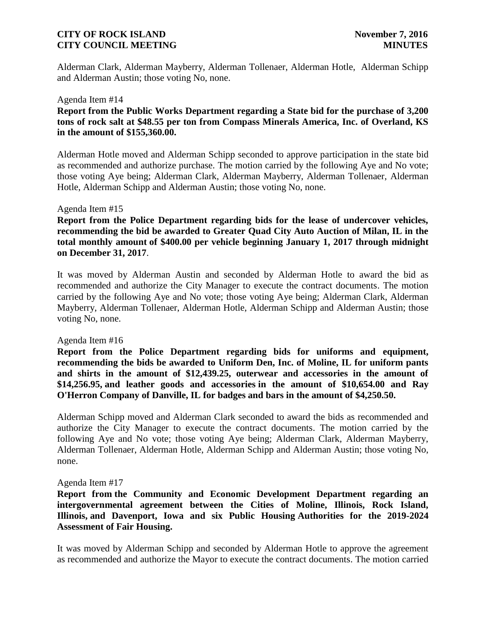Alderman Clark, Alderman Mayberry, Alderman Tollenaer, Alderman Hotle, Alderman Schipp and Alderman Austin; those voting No, none.

#### Agenda Item #14

**Report from the Public Works Department regarding a State bid for the purchase of 3,200 tons of rock salt at \$48.55 per ton from Compass Minerals America, Inc. of Overland, KS in the amount of \$155,360.00.** 

Alderman Hotle moved and Alderman Schipp seconded to approve participation in the state bid as recommended and authorize purchase. The motion carried by the following Aye and No vote; those voting Aye being; Alderman Clark, Alderman Mayberry, Alderman Tollenaer, Alderman Hotle, Alderman Schipp and Alderman Austin; those voting No, none.

#### Agenda Item #15

**Report from the Police Department regarding bids for the lease of undercover vehicles, recommending the bid be awarded to Greater Quad City Auto Auction of Milan, IL in the total monthly amount of \$400.00 per vehicle beginning January 1, 2017 through midnight on December 31, 2017**.

It was moved by Alderman Austin and seconded by Alderman Hotle to award the bid as recommended and authorize the City Manager to execute the contract documents. The motion carried by the following Aye and No vote; those voting Aye being; Alderman Clark, Alderman Mayberry, Alderman Tollenaer, Alderman Hotle, Alderman Schipp and Alderman Austin; those voting No, none.

#### Agenda Item #16

**Report from the Police Department regarding bids for uniforms and equipment, recommending the bids be awarded to Uniform Den, Inc. of Moline, IL for uniform pants and shirts in the amount of \$12,439.25, outerwear and accessories in the amount of \$14,256.95, and leather goods and accessories in the amount of \$10,654.00 and Ray O'Herron Company of Danville, IL for badges and bars in the amount of \$4,250.50.**

Alderman Schipp moved and Alderman Clark seconded to award the bids as recommended and authorize the City Manager to execute the contract documents. The motion carried by the following Aye and No vote; those voting Aye being; Alderman Clark, Alderman Mayberry, Alderman Tollenaer, Alderman Hotle, Alderman Schipp and Alderman Austin; those voting No, none.

#### Agenda Item #17

**Report from the Community and Economic Development Department regarding an intergovernmental agreement between the Cities of Moline, Illinois, Rock Island, Illinois, and Davenport, Iowa and six Public Housing Authorities for the 2019-2024 Assessment of Fair Housing.**

It was moved by Alderman Schipp and seconded by Alderman Hotle to approve the agreement as recommended and authorize the Mayor to execute the contract documents. The motion carried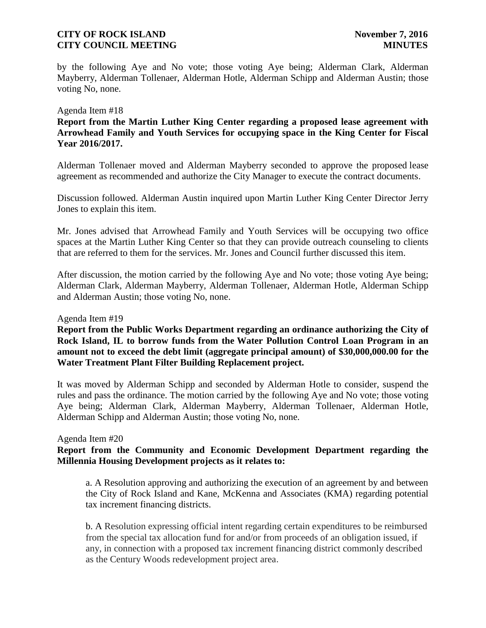by the following Aye and No vote; those voting Aye being; Alderman Clark, Alderman Mayberry, Alderman Tollenaer, Alderman Hotle, Alderman Schipp and Alderman Austin; those voting No, none.

#### Agenda Item #18

**Report from the Martin Luther King Center regarding a proposed lease agreement with Arrowhead Family and Youth Services for occupying space in the King Center for Fiscal Year 2016/2017.**

Alderman Tollenaer moved and Alderman Mayberry seconded to approve the proposed lease agreement as recommended and authorize the City Manager to execute the contract documents.

Discussion followed. Alderman Austin inquired upon Martin Luther King Center Director Jerry Jones to explain this item.

Mr. Jones advised that Arrowhead Family and Youth Services will be occupying two office spaces at the Martin Luther King Center so that they can provide outreach counseling to clients that are referred to them for the services. Mr. Jones and Council further discussed this item.

After discussion, the motion carried by the following Aye and No vote; those voting Aye being; Alderman Clark, Alderman Mayberry, Alderman Tollenaer, Alderman Hotle, Alderman Schipp and Alderman Austin; those voting No, none.

#### Agenda Item #19

**Report from the Public Works Department regarding an ordinance authorizing the City of Rock Island, IL to borrow funds from the Water Pollution Control Loan Program in an amount not to exceed the debt limit (aggregate principal amount) of \$30,000,000.00 for the Water Treatment Plant Filter Building Replacement project.**

It was moved by Alderman Schipp and seconded by Alderman Hotle to consider, suspend the rules and pass the ordinance. The motion carried by the following Aye and No vote; those voting Aye being; Alderman Clark, Alderman Mayberry, Alderman Tollenaer, Alderman Hotle, Alderman Schipp and Alderman Austin; those voting No, none.

#### Agenda Item #20

### **Report from the Community and Economic Development Department regarding the Millennia Housing Development projects as it relates to:**

a. A Resolution approving and authorizing the execution of an agreement by and between the City of Rock Island and Kane, McKenna and Associates (KMA) regarding potential tax increment financing districts.

 b. A Resolution expressing official intent regarding certain expenditures to be reimbursed from the special tax allocation fund for and/or from proceeds of an obligation issued, if any, in connection with a proposed tax increment financing district commonly described as the Century Woods redevelopment project area.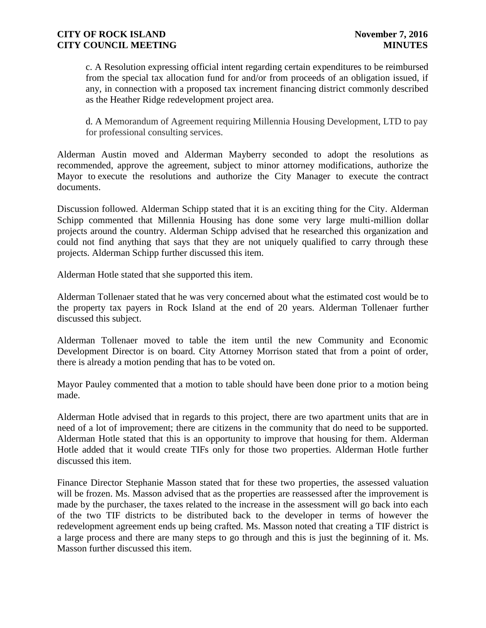c. A Resolution expressing official intent regarding certain expenditures to be reimbursed from the special tax allocation fund for and/or from proceeds of an obligation issued, if any, in connection with a proposed tax increment financing district commonly described as the Heather Ridge redevelopment project area.

d. A Memorandum of Agreement requiring Millennia Housing Development, LTD to pay for professional consulting services.

Alderman Austin moved and Alderman Mayberry seconded to adopt the resolutions as recommended, approve the agreement, subject to minor attorney modifications, authorize the Mayor to execute the resolutions and authorize the City Manager to execute the contract documents.

Discussion followed. Alderman Schipp stated that it is an exciting thing for the City. Alderman Schipp commented that Millennia Housing has done some very large multi-million dollar projects around the country. Alderman Schipp advised that he researched this organization and could not find anything that says that they are not uniquely qualified to carry through these projects. Alderman Schipp further discussed this item.

Alderman Hotle stated that she supported this item.

Alderman Tollenaer stated that he was very concerned about what the estimated cost would be to the property tax payers in Rock Island at the end of 20 years. Alderman Tollenaer further discussed this subject.

Alderman Tollenaer moved to table the item until the new Community and Economic Development Director is on board. City Attorney Morrison stated that from a point of order, there is already a motion pending that has to be voted on.

Mayor Pauley commented that a motion to table should have been done prior to a motion being made.

Alderman Hotle advised that in regards to this project, there are two apartment units that are in need of a lot of improvement; there are citizens in the community that do need to be supported. Alderman Hotle stated that this is an opportunity to improve that housing for them. Alderman Hotle added that it would create TIFs only for those two properties. Alderman Hotle further discussed this item.

Finance Director Stephanie Masson stated that for these two properties, the assessed valuation will be frozen. Ms. Masson advised that as the properties are reassessed after the improvement is made by the purchaser, the taxes related to the increase in the assessment will go back into each of the two TIF districts to be distributed back to the developer in terms of however the redevelopment agreement ends up being crafted. Ms. Masson noted that creating a TIF district is a large process and there are many steps to go through and this is just the beginning of it. Ms. Masson further discussed this item.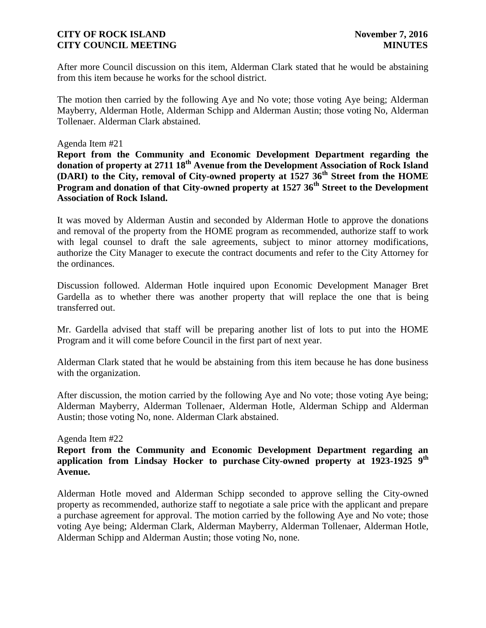After more Council discussion on this item, Alderman Clark stated that he would be abstaining from this item because he works for the school district.

The motion then carried by the following Aye and No vote; those voting Aye being; Alderman Mayberry, Alderman Hotle, Alderman Schipp and Alderman Austin; those voting No, Alderman Tollenaer. Alderman Clark abstained.

#### Agenda Item #21

**Report from the Community and Economic Development Department regarding the donation of property at 2711 18th Avenue from the Development Association of Rock Island (DARI) to the City, removal of City-owned property at 1527 36th Street from the HOME Program and donation of that City-owned property at 1527 36th Street to the Development Association of Rock Island.**

It was moved by Alderman Austin and seconded by Alderman Hotle to approve the donations and removal of the property from the HOME program as recommended, authorize staff to work with legal counsel to draft the sale agreements, subject to minor attorney modifications, authorize the City Manager to execute the contract documents and refer to the City Attorney for the ordinances.

Discussion followed. Alderman Hotle inquired upon Economic Development Manager Bret Gardella as to whether there was another property that will replace the one that is being transferred out.

Mr. Gardella advised that staff will be preparing another list of lots to put into the HOME Program and it will come before Council in the first part of next year.

Alderman Clark stated that he would be abstaining from this item because he has done business with the organization.

After discussion, the motion carried by the following Aye and No vote; those voting Aye being; Alderman Mayberry, Alderman Tollenaer, Alderman Hotle, Alderman Schipp and Alderman Austin; those voting No, none. Alderman Clark abstained.

#### Agenda Item #22

**Report from the Community and Economic Development Department regarding an application from Lindsay Hocker to purchase City-owned property at 1923-1925 9th Avenue.** 

Alderman Hotle moved and Alderman Schipp seconded to approve selling the City-owned property as recommended, authorize staff to negotiate a sale price with the applicant and prepare a purchase agreement for approval. The motion carried by the following Aye and No vote; those voting Aye being; Alderman Clark, Alderman Mayberry, Alderman Tollenaer, Alderman Hotle, Alderman Schipp and Alderman Austin; those voting No, none.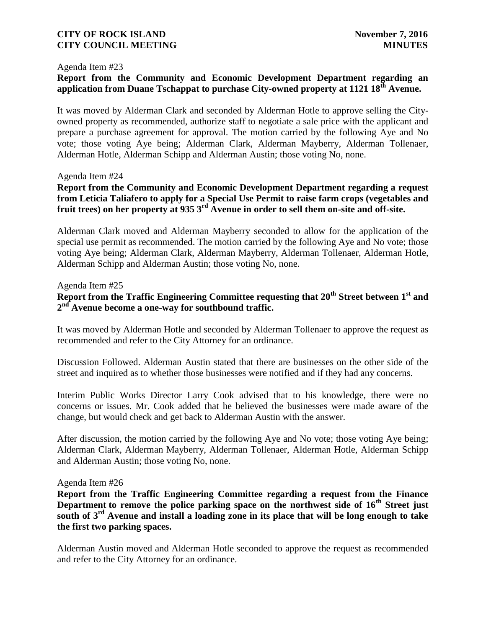#### Agenda Item #23

# **Report from the Community and Economic Development Department regarding an application from Duane Tschappat to purchase City-owned property at 1121 18th Avenue.**

It was moved by Alderman Clark and seconded by Alderman Hotle to approve selling the Cityowned property as recommended, authorize staff to negotiate a sale price with the applicant and prepare a purchase agreement for approval. The motion carried by the following Aye and No vote; those voting Aye being; Alderman Clark, Alderman Mayberry, Alderman Tollenaer, Alderman Hotle, Alderman Schipp and Alderman Austin; those voting No, none.

#### Agenda Item #24

# **Report from the Community and Economic Development Department regarding a request from Leticia Taliafero to apply for a Special Use Permit to raise farm crops (vegetables and fruit trees) on her property at 935 3rd Avenue in order to sell them on-site and off-site.**

Alderman Clark moved and Alderman Mayberry seconded to allow for the application of the special use permit as recommended. The motion carried by the following Aye and No vote; those voting Aye being; Alderman Clark, Alderman Mayberry, Alderman Tollenaer, Alderman Hotle, Alderman Schipp and Alderman Austin; those voting No, none.

Agenda Item #25

# **Report from the Traffic Engineering Committee requesting that 20th Street between 1 st and 2 nd Avenue become a one-way for southbound traffic.**

It was moved by Alderman Hotle and seconded by Alderman Tollenaer to approve the request as recommended and refer to the City Attorney for an ordinance.

Discussion Followed. Alderman Austin stated that there are businesses on the other side of the street and inquired as to whether those businesses were notified and if they had any concerns.

Interim Public Works Director Larry Cook advised that to his knowledge, there were no concerns or issues. Mr. Cook added that he believed the businesses were made aware of the change, but would check and get back to Alderman Austin with the answer.

After discussion, the motion carried by the following Aye and No vote; those voting Aye being; Alderman Clark, Alderman Mayberry, Alderman Tollenaer, Alderman Hotle, Alderman Schipp and Alderman Austin; those voting No, none.

#### Agenda Item #26

**Report from the Traffic Engineering Committee regarding a request from the Finance Department to remove the police parking space on the northwest side of 16th Street just south of 3rd Avenue and install a loading zone in its place that will be long enough to take the first two parking spaces.**

Alderman Austin moved and Alderman Hotle seconded to approve the request as recommended and refer to the City Attorney for an ordinance.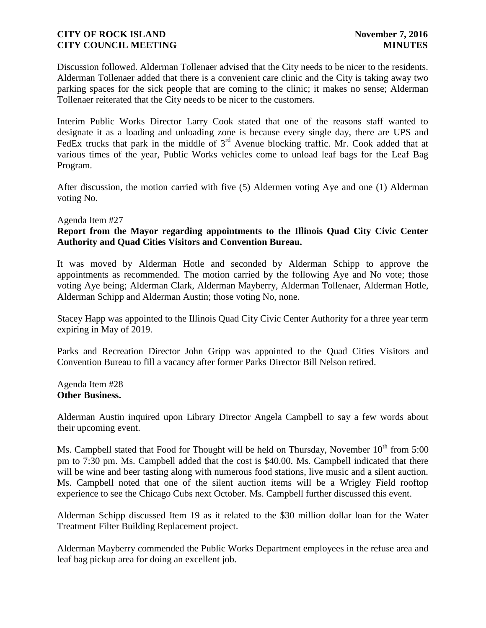Discussion followed. Alderman Tollenaer advised that the City needs to be nicer to the residents. Alderman Tollenaer added that there is a convenient care clinic and the City is taking away two parking spaces for the sick people that are coming to the clinic; it makes no sense; Alderman Tollenaer reiterated that the City needs to be nicer to the customers.

Interim Public Works Director Larry Cook stated that one of the reasons staff wanted to designate it as a loading and unloading zone is because every single day, there are UPS and FedEx trucks that park in the middle of  $3<sup>rd</sup>$  Avenue blocking traffic. Mr. Cook added that at various times of the year, Public Works vehicles come to unload leaf bags for the Leaf Bag Program.

After discussion, the motion carried with five (5) Aldermen voting Aye and one (1) Alderman voting No.

#### Agenda Item #27

### **Report from the Mayor regarding appointments to the Illinois Quad City Civic Center Authority and Quad Cities Visitors and Convention Bureau.**

It was moved by Alderman Hotle and seconded by Alderman Schipp to approve the appointments as recommended. The motion carried by the following Aye and No vote; those voting Aye being; Alderman Clark, Alderman Mayberry, Alderman Tollenaer, Alderman Hotle, Alderman Schipp and Alderman Austin; those voting No, none.

Stacey Happ was appointed to the Illinois Quad City Civic Center Authority for a three year term expiring in May of 2019.

Parks and Recreation Director John Gripp was appointed to the Quad Cities Visitors and Convention Bureau to fill a vacancy after former Parks Director Bill Nelson retired.

Agenda Item #28 **Other Business.**

Alderman Austin inquired upon Library Director Angela Campbell to say a few words about their upcoming event.

Ms. Campbell stated that Food for Thought will be held on Thursday, November  $10^{th}$  from 5:00 pm to 7:30 pm. Ms. Campbell added that the cost is \$40.00. Ms. Campbell indicated that there will be wine and beer tasting along with numerous food stations, live music and a silent auction. Ms. Campbell noted that one of the silent auction items will be a Wrigley Field rooftop experience to see the Chicago Cubs next October. Ms. Campbell further discussed this event.

Alderman Schipp discussed Item 19 as it related to the \$30 million dollar loan for the Water Treatment Filter Building Replacement project.

Alderman Mayberry commended the Public Works Department employees in the refuse area and leaf bag pickup area for doing an excellent job.